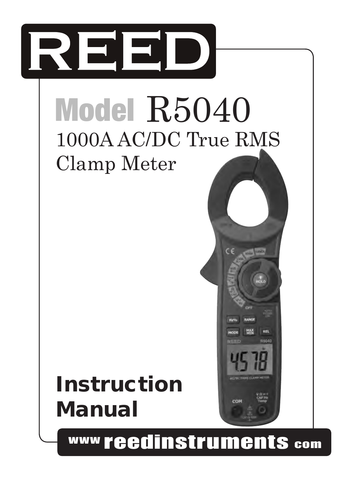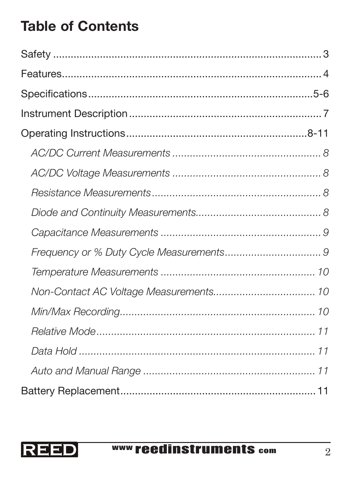# Table of Contents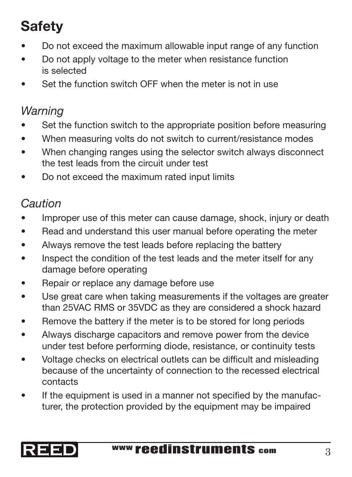# **Safety**

- Do not exceed the maximum allowable input range of any function
- Do not apply voltage to the meter when resistance function is selected
- Set the function switch OFF when the meter is not in use

## *Warning*

- Set the function switch to the appropriate position before measuring
- When measuring volts do not switch to current/resistance modes
- When changing ranges using the selector switch always disconnect the test leads from the circuit under test
- Do not exceed the maximum rated input limits

#### *Caution*

- Improper use of this meter can cause damage, shock, injury or death
- Read and understand this user manual before operating the meter
- Always remove the test leads before replacing the battery
- Inspect the condition of the test leads and the meter itself for any damage before operating
- Repair or replace any damage before use
- Use great care when taking measurements if the voltages are greater than 25VAC RMS or 35VDC as they are considered a shock hazard
- Remove the battery if the meter is to be stored for long periods
- Always discharge capacitors and remove power from the device under test before performing diode, resistance, or continuity tests
- Voltage checks on electrical outlets can be difficult and misleading because of the uncertainty of connection to the recessed electrical contacts
- If the equipment is used in a manner not specified by the manufacturer, the protection provided by the equipment may be impaired

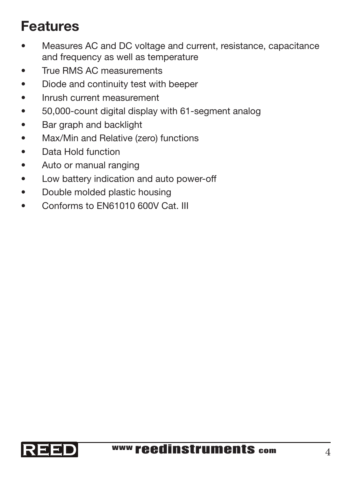## Features

- Measures AC and DC voltage and current, resistance, capacitance and frequency as well as temperature
- • True RMS AC measurements
- • Diode and continuity test with beeper
- Inrush current measurement
- • 50,000-count digital display with 61-segment analog
- • Bar graph and backlight
- Max/Min and Relative (zero) functions
- • Data Hold function
- • Auto or manual ranging
- • Low battery indication and auto power-off
- • Double molded plastic housing
- Conforms to FN61010 600V Cat. III

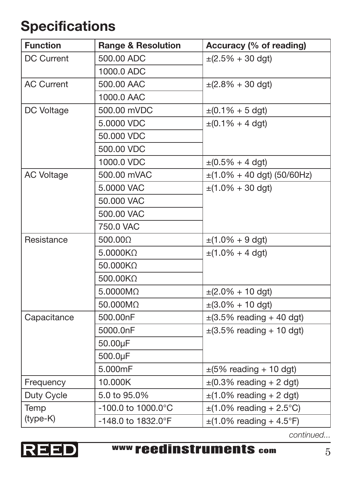## Specifications

| <b>Function</b>   | <b>Range &amp; Resolution</b> | Accuracy (% of reading)                       |
|-------------------|-------------------------------|-----------------------------------------------|
| <b>DC Current</b> | 500.00 ADC                    | $\pm (2.5\% + 30$ dgt)                        |
|                   | 1000.0 ADC                    |                                               |
| <b>AC Current</b> | 500.00 AAC                    | $\pm (2.8\% + 30$ dgt)                        |
|                   | 1000.0 AAC                    |                                               |
| DC Voltage        | 500.00 mVDC                   | $\pm (0.1\% + 5$ dgt)                         |
|                   | 5,0000 VDC                    | $\pm (0.1\% + 4 \text{ dqt})$                 |
|                   | 50,000 VDC                    |                                               |
|                   | 500,00 VDC                    |                                               |
|                   | 1000.0 VDC                    | $\pm (0.5\% + 4 \text{ dqt})$                 |
| <b>AC Voltage</b> | 500.00 mVAC                   | $\pm$ (1.0% + 40 dgt) (50/60Hz)               |
|                   | 5,0000 VAC                    | $\pm(1.0\% + 30$ dgt)                         |
|                   | 50,000 VAC                    |                                               |
|                   | 500.00 VAC                    |                                               |
|                   | 750.0 VAC                     |                                               |
| Resistance        | 500.000                       | $\pm(1.0\% + 9$ dgt)                          |
|                   | $5.0000K\Omega$               | $\pm$ (1.0% + 4 dgt)                          |
|                   | 50.000KQ                      |                                               |
|                   | 500.00KQ                      |                                               |
|                   | 5.0000MO                      | $\pm (2.0\% + 10$ dgt)                        |
|                   | 50.000MQ                      | $\pm(3.0\% + 10$ dgt)                         |
| Capacitance       | 500.00nF                      | $\pm(3.5\%$ reading + 40 dgt)                 |
|                   | 5000.0nF                      | $\pm$ (3.5% reading + 10 dgt)                 |
|                   | 50.00µF                       |                                               |
|                   | 500.0µF                       |                                               |
|                   | 5.000mF                       | $\pm$ (5% reading + 10 dgt)                   |
| Frequency         | 10.000K                       | $\pm (0.3\% \text{ reading} + 2 \text{ dgt})$ |
| Duty Cycle        | 5.0 to 95.0%                  | $\pm$ (1.0% reading + 2 dgt)                  |
| Temp              | $-100.0$ to $1000.0$ °C       | $\pm$ (1.0% reading + 2.5°C)                  |
| (type-K)          | -148.0 to 1832.0°F            | $\pm$ (1.0% reading + 4.5°F)                  |

*continued...*

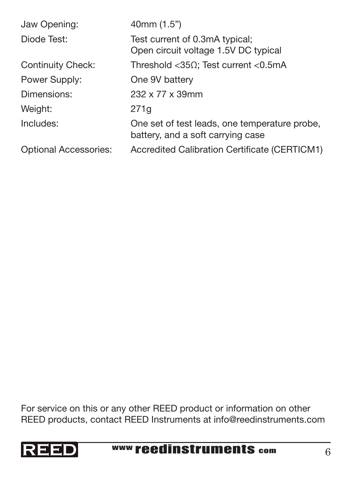| Jaw Opening:                 | 40mm (1.5")                                                                        |
|------------------------------|------------------------------------------------------------------------------------|
| Diode Test:                  | Test current of 0.3mA typical;<br>Open circuit voltage 1.5V DC typical             |
| Continuity Check:            | Threshold < 35 $\Omega$ ; Test current < 0.5mA                                     |
| Power Supply:                | One 9V battery                                                                     |
| Dimensions:                  | 232 x 77 x 39mm                                                                    |
| Weight:                      | 271q                                                                               |
| Includes:                    | One set of test leads, one temperature probe,<br>battery, and a soft carrying case |
| <b>Optional Accessories:</b> | Accredited Calibration Certificate (CERTICM1)                                      |

For service on this or any other REED product or information on other REED products, contact REED Instruments at info@reedinstruments.com

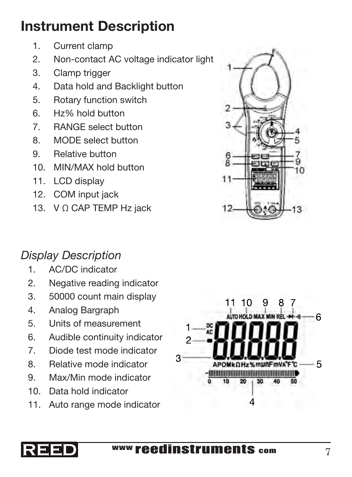## Instrument Description

- 1. Current clamp
- 2. Non-contact AC voltage indicator light
- 3. Clamp trigger
- 4. Data hold and Backlight button
- 5. Rotary function switch
- 6. Hz% hold button
- 7. RANGE select button
- 8. MODE select button
- 9. Relative button
- 10. MIN/MAX hold button
- 11. LCD display
- 12. COM input jack
- 13. V Ω CAP TEMP Hz jack

#### *Display Description*

- 1. AC/DC indicator
- 2. Negative reading indicator
- 3. 50000 count main display
- 4. Analog Bargraph
- 5. Units of measurement
- 6. Audible continuity indicator
- 7. Diode test mode indicator
- 8. Relative mode indicator
- 9. Max/Min mode indicator
- 10. Data hold indicator
- 11. Auto range mode indicator





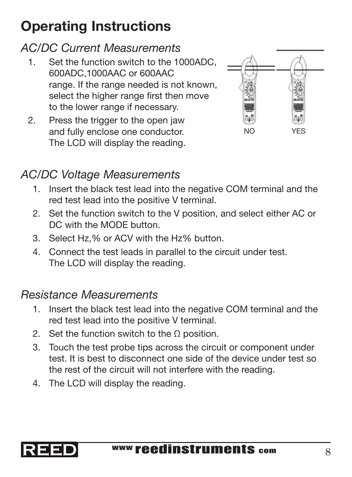# Operating Instructions

### *AC/DC Current Measurements*

- 1. Set the function switch to the 1000ADC, 600ADC,1000AAC or 600AAC range. If the range needed is not known, select the higher range first then move to the lower range if necessary.
- 2. Press the trigger to the open jaw and fully enclose one conductor. The LCD will display the reading.



## *AC/DC Voltage Measurements*

- 1. Insert the black test lead into the negative COM terminal and the red test lead into the positive V terminal.
- 2. Set the function switch to the V position, and select either AC or DC with the MODE button.
- 3. Select Hz,% or ACV with the Hz% button.
- 4. Connect the test leads in parallel to the circuit under test. The LCD will display the reading.

#### *Resistance Measurements*

- 1. Insert the black test lead into the negative COM terminal and the red test lead into the positive V terminal.
- 2. Set the function switch to the  $\Omega$  position.
- 3. Touch the test probe tips across the circuit or component under test. It is best to disconnect one side of the device under test so the rest of the circuit will not interfere with the reading.
- 4. The LCD will display the reading.

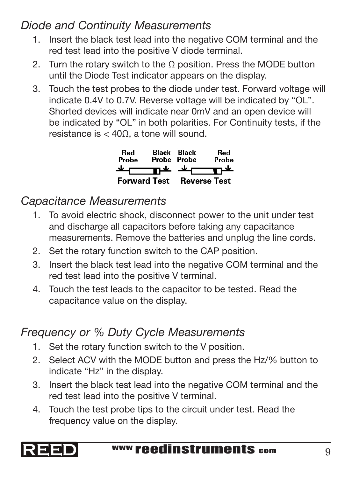#### *Diode and Continuity Measurements*

- 1. Insert the black test lead into the negative COM terminal and the red test lead into the positive V diode terminal.
- 2. Turn the rotary switch to the Ω position. Press the MODE button until the Diode Test indicator appears on the display.
- 3. Touch the test probes to the diode under test. Forward voltage will indicate 0.4V to 0.7V. Reverse voltage will be indicated by "OL". Shorted devices will indicate near 0mV and an open device will be indicated by "OL" in both polarities. For Continuity tests, if the resistance is  $<$  40Ω, a tone will sound.

| Red<br>Probe        | Black<br>Probe Probe | <b>Black</b> | Red<br>Probe        |
|---------------------|----------------------|--------------|---------------------|
|                     | ᇟᆇ                   | تعاد         |                     |
| <b>Forward Test</b> |                      |              | <b>Reverse Test</b> |

## *Capacitance Measurements*

- 1. To avoid electric shock, disconnect power to the unit under test and discharge all capacitors before taking any capacitance measurements. Remove the batteries and unplug the line cords.
- 2. Set the rotary function switch to the CAP position.
- 3. Insert the black test lead into the negative COM terminal and the red test lead into the positive V terminal.
- 4. Touch the test leads to the capacitor to be tested. Read the capacitance value on the display.

## *Frequency or % Duty Cycle Measurements*

- 1. Set the rotary function switch to the V position.
- 2. Select ACV with the MODE button and press the Hz/% button to indicate "Hz" in the display.
- red test lead into the positive V terminal. 3. Insert the black test lead into the negative COM terminal and the
- 4. Touch the test probe tips to the circuit under test. Read the frequency value on the display.

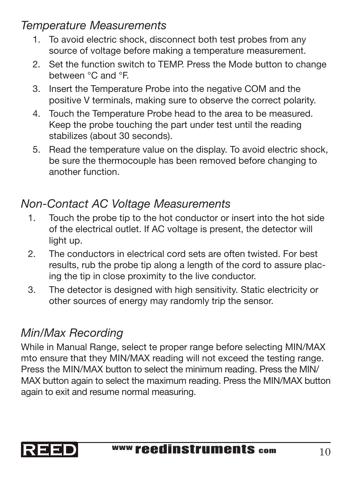#### *Temperature Measurements*

- 1. To avoid electric shock, disconnect both test probes from any source of voltage before making a temperature measurement.
- 2. Set the function switch to TEMP. Press the Mode button to change between °C and °F.
- 3. Insert the Temperature Probe into the negative COM and the positive V terminals, making sure to observe the correct polarity.
- 4. Touch the Temperature Probe head to the area to be measured. Keep the probe touching the part under test until the reading stabilizes (about 30 seconds).
- 5. Read the temperature value on the display. To avoid electric shock, be sure the thermocouple has been removed before changing to another function.

### *Non-Contact AC Voltage Measurements*

- 1. Touch the probe tip to the hot conductor or insert into the hot side of the electrical outlet. If AC voltage is present, the detector will light up.
- 2. The conductors in electrical cord sets are often twisted. For best results, rub the probe tip along a length of the cord to assure placing the tip in close proximity to the live conductor.
- 3. The detector is designed with high sensitivity. Static electricity or other sources of energy may randomly trip the sensor.

## *Min/Max Recording*

again to exit and resume normal measuring. While in Manual Range, select te proper range before selecting MIN/MAX mto ensure that they MIN/MAX reading will not exceed the testing range. Press the MIN/MAX button to select the minimum reading. Press the MIN/ MAX button again to select the maximum reading. Press the MIN/MAX button

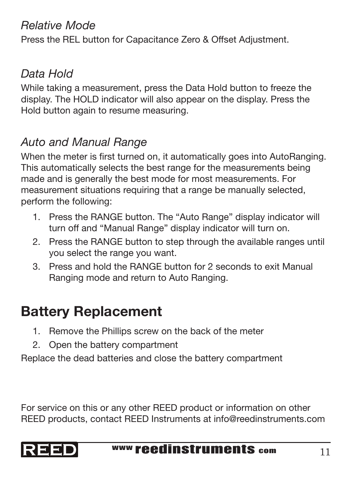#### *Relative Mode*

Press the REL button for Capacitance Zero & Offset Adjustment.

## *Data Hold*

While taking a measurement, press the Data Hold button to freeze the display. The HOLD indicator will also appear on the display. Press the Hold button again to resume measuring.

## *Auto and Manual Range*

When the meter is first turned on, it automatically goes into AutoRanging. This automatically selects the best range for the measurements being made and is generally the best mode for most measurements. For measurement situations requiring that a range be manually selected, perform the following:

- 1. Press the RANGE button. The "Auto Range" display indicator will turn off and "Manual Range" display indicator will turn on.
- 2. Press the RANGE button to step through the available ranges until you select the range you want.
- 3. Press and hold the RANGE button for 2 seconds to exit Manual Ranging mode and return to Auto Ranging.

## Battery Replacement

- 1. Remove the Phillips screw on the back of the meter
- 2. Open the battery compartment

Replace the dead batteries and close the battery compartment

For service on this or any other REED product or information on other REED products, contact REED Instruments at info@reedinstruments.com